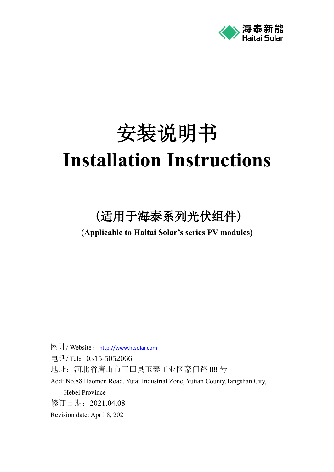

# 安装说明书 **Installation Instructions**

# (适用于海泰系列光伏组件)

# (**Applicable to Haitai Solar's series PV modules)**

网址/ Website: [http://www.htsolar.com](http://www.htsolar.com/)

电话/ Tel: 0315-5052066

地址:河北省唐山市玉田县玉泰工业区豪门路 88 号

Add: No.88 Haomen Road, Yutai Industrial Zone, Yutian County,Tangshan City,

Hebei Province

修订日期:2021.04.08

Revision date: April 8, 2021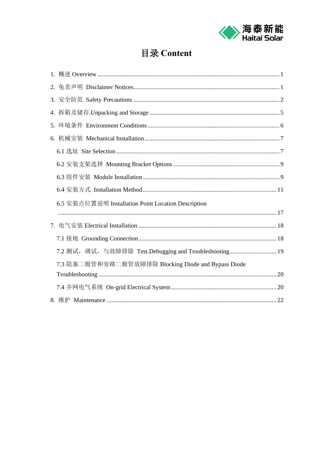

# 目录 Content

| 6.5 安装点位置说明 Installation Point Location Description     |  |
|---------------------------------------------------------|--|
|                                                         |  |
|                                                         |  |
|                                                         |  |
| 7.2 测试, 调试, 与故障排除 Test.Debugging and Troubleshooting 19 |  |
| 7.3 阻塞二极管和旁路二极管故障排除 Blocking Diode and Bypass Diode     |  |
|                                                         |  |
|                                                         |  |
|                                                         |  |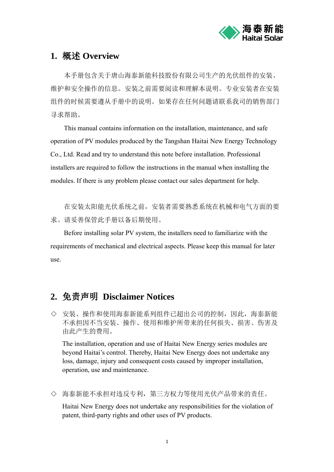

## <span id="page-2-0"></span>**1.** 概述 **Overview**

本手册包含关于唐山海泰新能科技股份有限公司生产的光伏组件的安装、 维护和安全操作的信息。安装之前需要阅读和理解本说明。专业安装者在安装 组件的时候需要遵从手册中的说明。如果存在任何问题请联系我司的销售部门 寻求帮助。

This manual contains information on the installation, maintenance, and safe operation of PV modules produced by the Tangshan Haitai New Energy Technology Co., Ltd. Read and try to understand this note before installation. Professional installers are required to follow the instructions in the manual when installing the modules. If there is any problem please contact our sales department for help.

在安装太阳能光伏系统之前,安装者需要熟悉系统在机械和电气方面的要 求。请妥善保管此手册以备后期使用。

Before installing solar PV system, the installers need to familiarize with the requirements of mechanical and electrical aspects. Please keep this manual for later use.

# <span id="page-2-1"></span>**2.** 免责声明 **Disclaimer Notices**

◇ 安装、操作和使用海泰新能系列组件已超出公司的控制,因此,海泰新能 不承担因不当安装、操作、使用和维护所带来的任何损失、损害、伤害及 由此产生的费用。

The installation, operation and use of Haitai New Energy series modules are beyond Haitai's control. Thereby, Haitai New Energy does not undertake any loss, damage, injury and consequent costs caused by improper installation, operation, use and maintenance.

◇ 海泰新能不承担对违反专利,第三方权力等使用光伏产品带来的责任。

Haitai New Energy does not undertake any responsibilities for the violation of patent, third-party rights and other uses of PV products.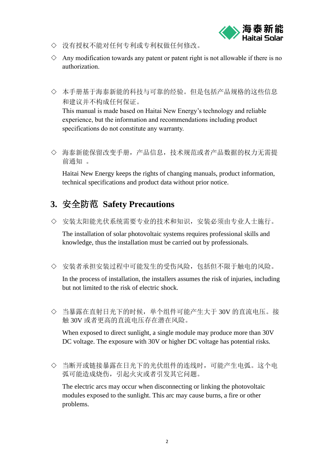

- ◇ 没有授权不能对任何专利或专利权做任何修改。
- $\diamond$  Any modification towards any patent or patent right is not allowable if there is no authorization.
- ◇ 本手册基于海泰新能的科技与可靠的经验。但是包括产品规格的这些信息 和建议并不构成任何保证。 This manual is made based on Haitai New Energy's technology and reliable experience, but the information and recommendations including product

specifications do not constitute any warranty.

◇ 海泰新能保留改变手册,产品信息,技术规范或者产品数据的权力无需提 前通知 。

Haitai New Energy keeps the rights of changing manuals, product information, technical specifications and product data without prior notice.

# <span id="page-3-0"></span>**3.** 安全防范 **Safety Precautions**

◇ 安装太阳能光伏系统需要专业的技术和知识,安装必须由专业人士施行。

The installation of solar photovoltaic systems requires professional skills and knowledge, thus the installation must be carried out by professionals.

◇ 安装者承担安装过程中可能发生的受伤风险,包括但不限于触电的风险。

In the process of installation, the installers assumes the risk of injuries, including but not limited to the risk of electric shock.

◇ 当暴露在直射日光下的时候,单个组件可能产生大于 30V 的直流电压。接 触 30V 或者更高的直流电压存在潜在风险。

When exposed to direct sunlight, a single module may produce more than 30V DC voltage. The exposure with 30V or higher DC voltage has potential risks.

◇ 当断开或链接暴露在日光下的光伏组件的连线时,可能产生电弧。这个电 弧可能造成烧伤,引起火灾或者引发其它问题。

The electric arcs may occur when disconnecting or linking the photovoltaic modules exposed to the sunlight. This arc may cause burns, a fire or other problems.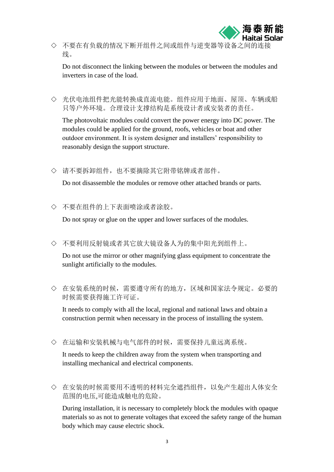

◇ 不要在有负载的情况下断开组件之间或组件与逆变器等设备之间的 线。

Do not disconnect the linking between the modules or between the modules and inverters in case of the load.

◇ 光伏电池组件把光能转换成直流电能。组件应用于地面、屋顶、车辆或船 只等户外环境。合理设计支撑结构是系统设计者或安装者的责任。

The photovoltaic modules could convert the power energy into DC power. The modules could be applied for the ground, roofs, vehicles or boat and other outdoor environment. It is system designer and installers' responsibility to reasonably design the support structure.

◇ 请不要拆卸组件,也不要摘除其它附带铭牌或者部件。

Do not disassemble the modules or remove other attached brands or parts.

◇ 不要在组件的上下表面喷涂或者涂胶。

Do not spray or glue on the upper and lower surfaces of the modules.

◇ 不要利用反射镜或者其它放大镜设备人为的集中阳光到组件上。

Do not use the mirror or other magnifying glass equipment to concentrate the sunlight artificially to the modules.

◇ 在安装系统的时候,需要遵守所有的地方,区域和国家法令规定。必要的 时候需要获得施工许可证。

It needs to comply with all the local, regional and national laws and obtain a construction permit when necessary in the process of installing the system.

◇ 在运输和安装机械与电气部件的时候,需要保持儿童远离系统。

It needs to keep the children away from the system when transporting and installing mechanical and electrical components.

◇ 在安装的时候需要用不透明的材料完全遮挡组件,以免产生超出人体安全 范围的电压,可能造成触电的危险。

During installation, it is necessary to completely block the modules with opaque materials so as not to generate voltages that exceed the safety range of the human body which may cause electric shock.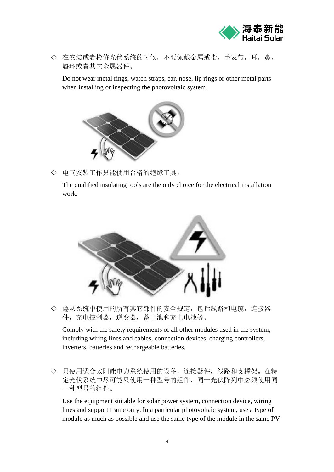

◇ 在安装或者检修光伏系统的时候,不要佩戴金属戒指,手表带,耳,鼻, 唇环或者其它金属器件。

Do not wear metal rings, watch straps, ear, nose, lip rings or other metal parts when installing or inspecting the photovoltaic system.



◇ 电气安装工作只能使用合格的绝缘工具。

The qualified insulating tools are the only choice for the electrical installation work.



◇ 遵从系统中使用的所有其它部件的安全规定,包括线路和电缆,连接器 件,充电控制器,逆变器,蓄电池和充电电池等。

Comply with the safety requirements of all other modules used in the system, including wiring lines and cables, connection devices, charging controllers, inverters, batteries and rechargeable batteries.

◇ 只使用适合太阳能电力系统使用的设备,连接器件,线路和支撑架。在特 定光伏系统中尽可能只使用一种型号的组件,同一光伏阵列中必须使用同 一种型号的组件。

Use the equipment suitable for solar power system, connection device, wiring lines and support frame only. In a particular photovoltaic system, use a type of module as much as possible and use the same type of the module in the same PV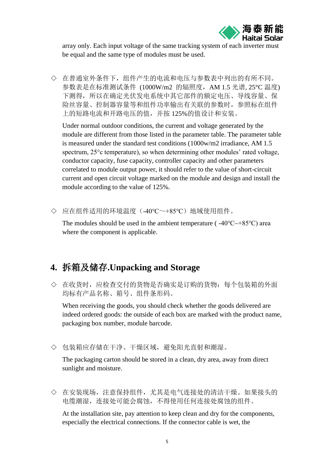

array only. Each input voltage of the same tracking system of each inverter must be equal and the same type of modules must be used.

◇ 在普通室外条件下,组件产生的电流和电压与参数表中列出的有所不同。 参数表是在标准测试条件 (1000W/m2 的辐照度,AM 1.5 光谱, 25°C 温度) 下测得,所以在确定光伏发电系统中其它部件的额定电压、导线容量、保 险丝容量、控制器容量等和组件功率输出有关联的参数时,参照标在组件 上的短路电流和开路电压的值,并按 125%的值设计和安装。

Under normal outdoor conditions, the current and voltage generated by the module are different from those listed in the parameter table. The parameter table is measured under the standard test conditions (1000w/m2 irradiance, AM 1.5 spectrum, 25°c temperature), so when determining other modules' rated voltage, conductor capacity, fuse capacity, controller capacity and other parameters correlated to module output power, it should refer to the value of short-circuit current and open circuit voltage marked on the module and design and install the module according to the value of 125%.

◇ 应在组件适用的环境温度(-40℃~+85℃)地域使用组件。

The modules should be used in the ambient temperature ( $-40^{\circ}$ C $\sim$ +85°C) area where the component is applicable.

# <span id="page-6-0"></span>**4.** 拆箱及储存**.Unpacking and Storage**

◇ 在收货时,应检查交付的货物是否确实是订购的货物:每个包装箱的外面 均标有产品名称、箱号、组件条形码。

When receiving the goods, you should check whether the goods delivered are indeed ordered goods: the outside of each box are marked with the product name, packaging box number, module barcode.

◇ 包装箱应存储在干净、干燥区域,避免阳光直射和潮湿。

The packaging carton should be stored in a clean, dry area, away from direct sunlight and moisture.

◇ 在安装现场,注意保持组件,尤其是电气连接处的清洁干燥。如果接头的 电缆潮湿,连接处可能会腐蚀,不得使用任何连接处腐蚀的组件。

At the installation site, pay attention to keep clean and dry for the components, especially the electrical connections. If the connector cable is wet, the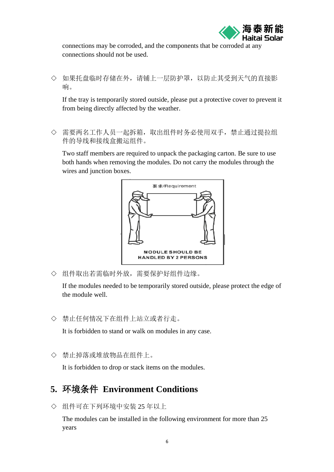

connections may be corroded, and the components that be corroded at any connections should not be used.

◇ 如果托盘临时存储在外,请铺上一层防护罩,以防止其受到天气的直接影 响。

If the tray is temporarily stored outside, please put a protective cover to prevent it from being directly affected by the weather.

◇ 需要两名工作人员一起拆箱,取出组件时务必使用双手,禁止通过提拉组 件的导线和接线盒搬运组件。

Two staff members are required to unpack the packaging carton. Be sure to use both hands when removing the modules. Do not carry the modules through the wires and junction boxes.



◇ 组件取出若需临时外放,需要保护好组件边缘。

If the modules needed to be temporarily stored outside, please protect the edge of the module well.

◇ 禁止任何情况下在组件上站立或者行走。

It is forbidden to stand or walk on modules in any case.

◇ 禁止掉落或堆放物品在组件上。

It is forbidden to drop or stack items on the modules.

# <span id="page-7-0"></span>**5.** 环境条件 **Environment Conditions**

◇ 组件可在下列环境中安装 25 年以上

The modules can be installed in the following environment for more than 25 years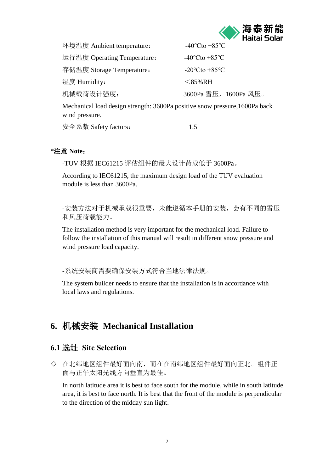

环境温度 Ambient temperature: -40°Cto +85°C 运行温度 Operating Temperature: -40°Cto +85°C 存储温度 Storage Temperature: -20℃to +85℃ 湿度 Humidity:  $<$ 85%RH 机械载荷设计强度: 3600Pa 雪压,1600Pa 风压。

Mechanical load design strength: 3600Pa positive snow pressure,1600Pa back wind pressure.

安全系数 Safety factors: 1.5

#### **\***注意 **Note**:

-TUV 根据 IEC61215 评估组件的最大设计荷载低于 3600Pa。

According to IEC61215, the maximum design load of the TUV evaluation module is less than 3600Pa.

-安装方法对于机械承载很重要,未能遵循本手册的安装,会有不同的雪压 和风压荷载能力。

The installation method is very important for the mechanical load. Failure to follow the installation of this manual will result in different snow pressure and wind pressure load capacity.

-系统安装商需要确保安装方式符合当地法律法规。

The system builder needs to ensure that the installation is in accordance with local laws and regulations.

# <span id="page-8-0"></span>**6.** 机械安装 **Mechanical Installation**

#### <span id="page-8-1"></span>**6.1** 选址 **Site Selection**

◇ 在北纬地区组件最好面向南,而在在南纬地区组件最好面向正北。组件正 面与正午太阳光线方向垂直为最佳。

In north latitude area it is best to face south for the module, while in south latitude area, it is best to face north. It is best that the front of the module is perpendicular to the direction of the midday sun light.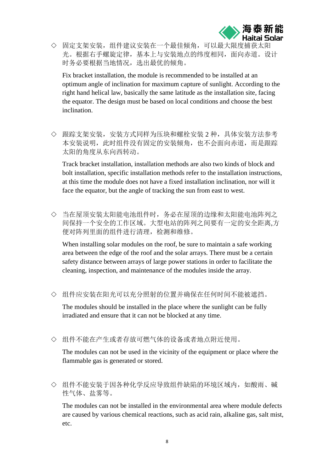

◇ 固定支架安装,组件建议安装在一个最佳倾角,可以最大限度捕获太阝 光。根据右手螺旋定律,基本上与安装地点的纬度相同,面向赤道。设计 时务必要根据当地情况,选出最优的倾角。

Fix bracket installation, the module is recommended to be installed at an optimum angle of inclination for maximum capture of sunlight. According to the right hand helical law, basically the same latitude as the installation site, facing the equator. The design must be based on local conditions and choose the best inclination.

◇ 跟踪支架安装,安装方式同样为压块和螺栓安装 2 种,具体安装方法参考 本安装说明,此时组件没有固定的安装倾角,也不会面向赤道,而是跟踪 太阳的角度从东向西转动。

Track bracket installation, installation methods are also two kinds of block and bolt installation, specific installation methods refer to the installation instructions, at this time the module does not have a fixed installation inclination, nor will it face the equator, but the angle of tracking the sun from east to west.

◇ 当在屋顶安装太阳能电池组件时,务必在屋顶的边缘和太阳能电池阵列之 间保持一个安全的工作区域。大型电站的阵列之间要有一定的安全距离,方 便对阵列里面的组件进行清理,检测和维修。

When installing solar modules on the roof, be sure to maintain a safe working area between the edge of the roof and the solar arrays. There must be a certain safety distance between arrays of large power stations in order to facilitate the cleaning, inspection, and maintenance of the modules inside the array.

◇ 组件应安装在阳光可以充分照射的位置并确保在任何时间不能被遮挡。

The modules should be installed in the place where the sunlight can be fully irradiated and ensure that it can not be blocked at any time.

◇ 组件不能在产生或者存放可燃气体的设备或者地点附近使用。

The modules can not be used in the vicinity of the equipment or place where the flammable gas is generated or stored.

◇ 组件不能安装于因各种化学反应导致组件缺陷的环境区域内,如酸雨、碱 性气体、盐雾等。

The modules can not be installed in the environmental area where module defects are caused by various chemical reactions, such as acid rain, alkaline gas, salt mist, etc.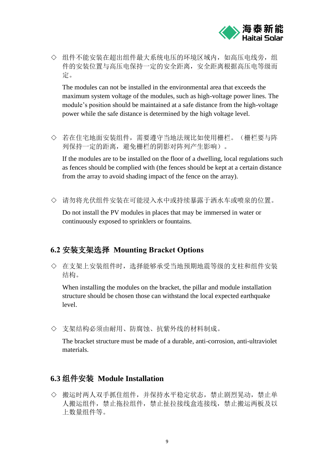

◇ 组件不能安装在超出组件最大系统电压的环境区域内,如高压电线旁,组 件的安装位置与高压电保持一定的安全距离,安全距离根据高压电等级而 定。

The modules can not be installed in the environmental area that exceeds the maximum system voltage of the modules, such as high-voltage power lines. The module's position should be maintained at a safe distance from the high-voltage power while the safe distance is determined by the high voltage level.

◇ 若在住宅地面安装组件,需要遵守当地法规比如使用栅栏。(栅栏要与阵 列保持一定的距离,避免栅栏的阴影对阵列产生影响)。

If the modules are to be installed on the floor of a dwelling, local regulations such as fences should be complied with (the fences should be kept at a certain distance from the array to avoid shading impact of the fence on the array).

◇ 请勿将光伏组件安装在可能浸入水中或持续暴露于洒水车或喷泉的位置。

Do not install the PV modules in places that may be immersed in water or continuously exposed to sprinklers or fountains.

## <span id="page-10-0"></span>**6.2** 安装支架选择 **Mounting Bracket Options**

◇ 在支架上安装组件时,选择能够承受当地预期地震等级的支柱和组件安装 结构。

When installing the modules on the bracket, the pillar and module installation structure should be chosen those can withstand the local expected earthquake level.

◇ 支架结构必须由耐用、防腐蚀、抗紫外线的材料制成。

The bracket structure must be made of a durable, anti-corrosion, anti-ultraviolet materials.

## <span id="page-10-1"></span>**6.3** 组件安装 **Module Installation**

◇ 搬运时两人双手抓住组件,并保持水平稳定状态,禁止剧烈晃动,禁止单 人搬运组件,禁止拖拉组件,禁止扯拉接线盒连接线,禁止搬运两板及以 上数量组件等。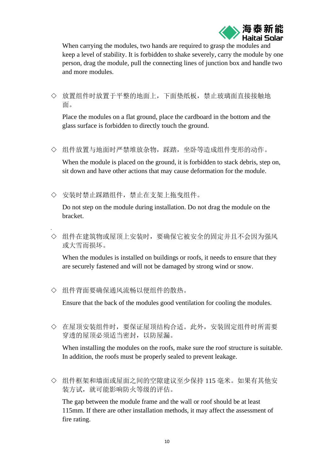

When carrying the modules, two hands are required to grasp the modules and keep a level of stability. It is forbidden to shake severely, carry the module by one person, drag the module, pull the connecting lines of junction box and handle two and more modules.

◇ 放置组件时放置于平整的地面上,下面垫纸板,禁止玻璃面直接接触地 面。

Place the modules on a flat ground, place the cardboard in the bottom and the glass surface is forbidden to directly touch the ground.

◇ 组件放置与地面时严禁堆放杂物,踩踏,坐卧等造成组件变形的动作。

When the module is placed on the ground, it is forbidden to stack debris, step on, sit down and have other actions that may cause deformation for the module.

◇ 安装时禁止踩踏组件,禁止在支架上拖曳组件。

Do not step on the module during installation. Do not drag the module on the bracket.

◇ 组件在建筑物或屋顶上安装时,要确保它被安全的固定并且不会因为强风 或大雪而损坏。

When the modules is installed on buildings or roofs, it needs to ensure that they are securely fastened and will not be damaged by strong wind or snow.

◇ 组件背面要确保通风流畅以便组件的散热。

.

Ensure that the back of the modules good ventilation for cooling the modules.

◇ 在屋顶安装组件时,要保证屋顶结构合适。此外,安装固定组件时所需要 穿透的屋顶必须适当密封,以防屋漏。

When installing the modules on the roofs, make sure the roof structure is suitable. In addition, the roofs must be properly sealed to prevent leakage.

◇ 组件框架和墙面或屋面之间的空隙建议至少保持 115 毫米。如果有其他安 装方试,就可能影响防火等级的评估。

The gap between the module frame and the wall or roof should be at least 115mm. If there are other installation methods, it may affect the assessment of fire rating.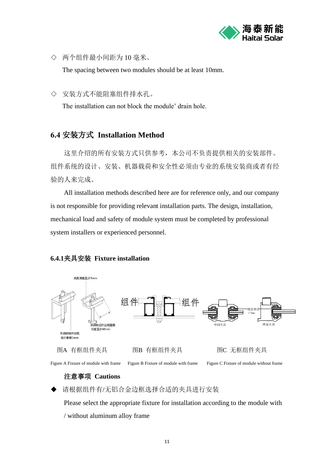

◇ 两个组件最小间距为 10 毫米。

The spacing between two modules should be at least 10mm.

◇ 安装方式不能阻塞组件排水孔。

The installation can not block the module' drain hole.

## <span id="page-12-0"></span>**6.4** 安装方式 **Installation Method**

这里介绍的所有安装方式只供参考,本公司不负责提供相关的安装部件。 组件系统的设计、安装、机器载荷和安全性必须由专业的系统安装商或者有经 验的人来完成。

All installation methods described here are for reference only, and our company is not responsible for providing relevant installation parts. The design, installation, mechanical load and safety of module system must be completed by professional system installers or experienced personnel.

#### **6.4.1**夹具安装 **Fixture installation**



#### 注意事项 **Cautions**

请根据组件有/无铝合金边框选择合适的夹具进行安装

Please select the appropriate fixture for installation according to the module with / without aluminum alloy frame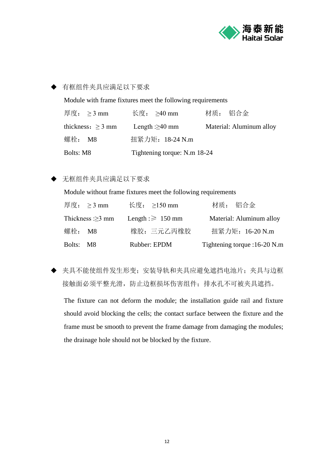

#### ◆ 有框组件夹具应满足以下要求

Module with frame fixtures meet the following requirements

| 厚度: ≥3 mm              | 长度: >40 mm                   | 材质: 铝合金                  |  |  |
|------------------------|------------------------------|--------------------------|--|--|
| thickness: $\geq$ 3 mm | Length $: \geq 40$ mm        | Material: Aluminum alloy |  |  |
| 螺栓: M8                 | 扭紧力矩: 18-24 N.m              |                          |  |  |
| Bolts: M8              | Tightening torque: N.m 18-24 |                          |  |  |

#### ◆ 无框组件夹具应满足以下要求

Module without frame fixtures meet the following requirements

| 厚度: > 3 mm              | 长度: ≥150 mm            | 材质: 铝合金                      |
|-------------------------|------------------------|------------------------------|
| Thickness : $\geq$ 3 mm | Length : $\geq 150$ mm | Material: Aluminum alloy     |
| 螺栓: M8                  | 橡胶: 三元乙丙橡胶             | 扭紧力矩: 16-20 N.m              |
| Bolts: M8               | Rubber: EPDM           | Tightening torque :16-20 N.m |

◆ 夹具不能使组件发生形变;安装导轨和夹具应避免遮挡电池片;夹具与边框 接触面必须平整光滑,防止边框损坏伤害组件;排水孔不可被夹具遮挡。

 The fixture can not deform the module; the installation guide rail and fixture should avoid blocking the cells; the contact surface between the fixture and the frame must be smooth to prevent the frame damage from damaging the modules; the drainage hole should not be blocked by the fixture.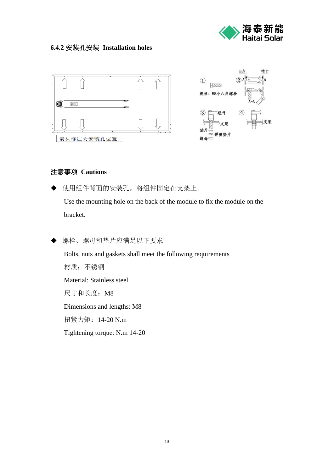

#### **6.4.2** 安装孔安装 **Installation holes**



#### 注意事项 **Cautions**

◆ 使用组件背面的安装孔,将组件固定在支架上。

Use the mounting hole on the back of the module to fix the module on the bracket.

螺栓、螺母和垫片应满足以下要求 Bolts, nuts and gaskets shall meet the following requirements 材质:不锈钢 Material: Stainless steel 尺寸和长度:M8 Dimensions and lengths: M8 扭紧力矩:14-20 N.m Tightening torque: N.m 14-20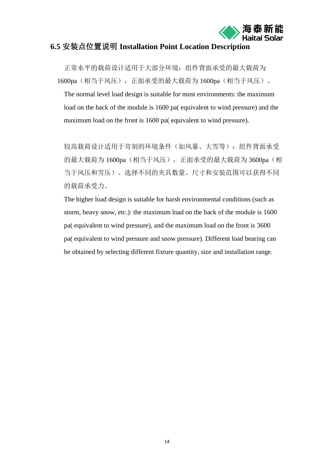

#### **6.5** 安装点位置说明 **Installation Point Location Description**

正常水平的载荷设计适用于大部分环境:组件背面承受的最大载荷为 1600pa(相当于风压), 正面承受的最大载荷为 1600pa(相当于风压)。

The normal level load design is suitable for most environments: the maximum load on the back of the module is 1600 pa( equivalent to wind pressure) and the maximum load on the front is 1600 pa( equivalent to wind pressure).

较高载荷设计适用于苛刻的环境条件(如风暴、大雪等): 组件背面承受 的最大载荷为 1600pa (相当于风压), 正面承受的最大载荷为 3600pa (相 当于风压和雪压)。选择不同的夹具数量、尺寸和安装范围可以获得不同 的载荷承受力。

The higher load design is suitable for harsh environmental conditions (such as storm, heavy snow, etc.): the maximum load on the back of the module is 1600 pa( equivalent to wind pressure), and the maximum load on the front is 3600 pa( equivalent to wind pressure and snow pressure). Different load bearing can be obtained by selecting different fixture quantity, size and installation range.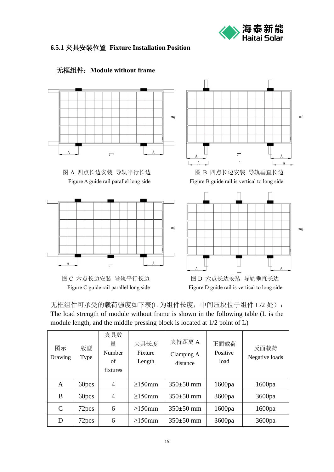

#### **6.5.1** 夹具安装位置 **Fixture Installation Position**



# 无框组件:**Module without frame**

Figure A guide rail parallel long side Figure B guide rail is vertical to long side







图 A 四点长边安装 导轨平行长边 图 B 四点长边安装 导轨垂直长边



Figure C guide rail parallel long side Figure D guide rail is vertical to long side

| 无框组件可承受的载荷强度如下表(L 为组件长度, 中间压块位于组件 L/2 处):                                           |  |
|-------------------------------------------------------------------------------------|--|
| The load strength of module without frame is shown in the following table (L is the |  |
| module length, and the middle pressing block is located at $1/2$ point of L)        |  |

| 图示<br>Drawing | 版型<br>Type | 夹具数<br>量<br>Number<br>of<br>fixtures | 夹具长度<br>Fixture<br>Length | 夹持距离 A<br>Clamping A<br>distance | 正面载荷<br>Positive<br>load | 反面载荷<br>Negative loads |
|---------------|------------|--------------------------------------|---------------------------|----------------------------------|--------------------------|------------------------|
| A             | 60pcs      | 4                                    | $>150$ mm                 | $350 \pm 50$ mm                  | 1600pa                   | 1600pa                 |
| B             | 60pcs      | $\overline{4}$                       | $>150$ mm                 | $350 \pm 50$ mm                  | 3600pa                   | 3600pa                 |
| $\mathcal{C}$ | 72pcs      | 6                                    | $>150$ mm                 | $350 \pm 50$ mm                  | 1600pa                   | 1600pa                 |
| D             | 72pcs      | 6                                    | $>150$ mm                 | $350 \pm 50$ mm                  | 3600pa                   | 3600pa                 |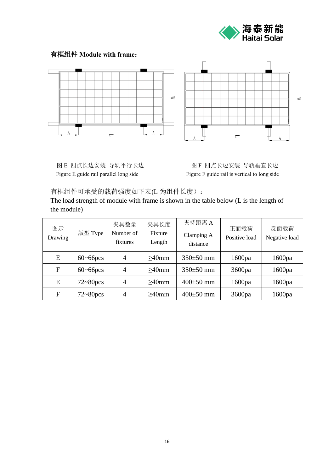

## 有框组件 **Module with frame**:



图 E 四点长边安装 导轨平行长边 图 F 四点长边安装 导轨垂直长边 Figure E guide rail parallel long side Figure F guide rail is vertical to long side

有框组件可承受的载荷强度如下表(L 为组件长度):

The load strength of module with frame is shown in the table below (L is the length of the module)

| 图示<br>Drawing | 版型 Type                 | 夹具数量<br>Number of<br>fixtures | 夹具长度<br>Fixture<br>Length | 夹持距离 A<br>Clamping A<br>distance | 正面载荷<br>Positive load | 反面载荷<br>Negative load |
|---------------|-------------------------|-------------------------------|---------------------------|----------------------------------|-----------------------|-----------------------|
| E             | $60\neg 66pcs$          | 4                             | $>40$ mm                  | $350\pm50$ mm                    | 1600pa                | 1600pa                |
| $\mathbf{F}$  | $60 \sim 66$ pcs        | 4                             | $>40$ mm                  | $350 \pm 50$ mm                  | 3600pa                | 1600pa                |
| E             | $72 \sim 80 \text{pcs}$ | 4                             | $>40$ mm                  | $400\pm50$ mm                    | 1600pa                | 1600pa                |
| $\mathbf{F}$  | $72 \sim 80 \text{pcs}$ | 4                             | $\geq$ 40mm               | $400\pm50$ mm                    | 3600pa                | 1600pa                |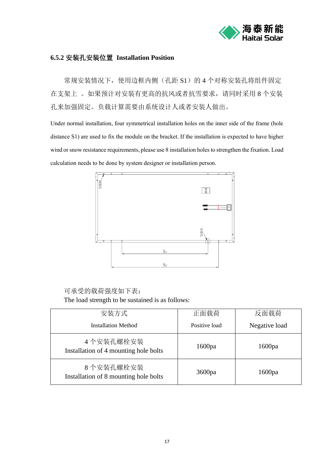

#### <span id="page-18-0"></span>**6.5.2** 安装孔安装位置 **Installation Position**

常规安装情况下, 使用边框内侧(孔距 S1) 的 4 个对称安装孔将组件固定 在支架上 。如果预计对安装有更高的抗风或者抗雪要求,请同时采用 8 个安装 孔来加强固定。负载计算需要由系统设计人或者安装人做出。

Under normal installation, four symmetrical installation holes on the inner side of the frame (hole distance S1) are used to fix the module on the bracket. If the installation is expected to have higher wind or snow resistance requirements, please use 8 installation holes to strengthen the fixation. Load calculation needs to be done by system designer or installation person.



可承受的载荷强度如下表: The load strength to be sustained is as follows:

| 安装方式                                               | 正面载荷          | 反面载荷          |
|----------------------------------------------------|---------------|---------------|
| <b>Installation Method</b>                         | Positive load | Negative load |
| 4个安装孔螺栓安装<br>Installation of 4 mounting hole bolts | 1600pa        | 1600pa        |
| 8个安装孔螺栓安装<br>Installation of 8 mounting hole bolts | 3600pa        | 1600pa        |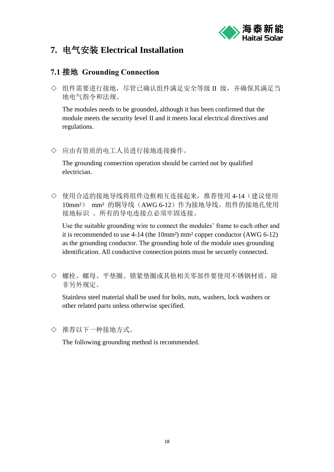

# <span id="page-19-0"></span>**7.** 电气安装 **Electrical Installation**

#### <span id="page-19-1"></span>**7.1** 接地 **Grounding Connection**

◇ 组件需要进行接地,尽管已确认组件满足安全等级 II 级,并确保其满足当 地电气指令和法规。

The modules needs to be grounded, although it has been confirmed that the module meets the security level II and it meets local electrical directives and regulations.

◇ 应由有资质的电工人员进行接地连接操作。

The grounding connection operation should be carried out by qualified electrician.

◇ 使用合适的接地导线将组件边框相互连接起来,推荐使用 4-14(建议使用 10mm²) mm² 的铜导线(AWG 6-12)作为接地导线。组件的接地孔使用 接地标识 。所有的导电连接点必须牢固连接。

Use the suitable grounding wire to connect the modules' frame to each other and it is recommended to use 4-14 (the 10mm²) mm² copper conductor (AWG 6-12) as the grounding conductor. The grounding hole of the module uses grounding identification. All conductive connection points must be securely connected.

◇ 螺栓、螺母、平垫圈、锁紧垫圈或其他相关零部件要使用不锈钢材质,除 非另外规定。

Stainless steel material shall be used for bolts, nuts, washers, lock washers or other related parts unless otherwise specified.

◇ 推荐以下一种接地方式。

The following grounding method is recommended.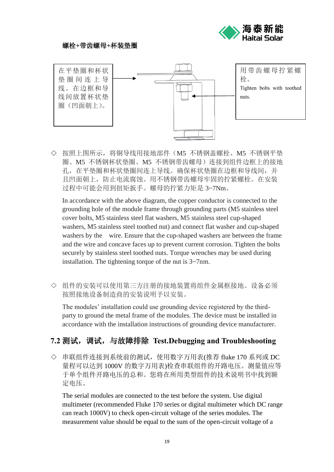

#### 螺栓**+**带齿螺母**+**杯装垫圈



◇ 按照上图所示,将铜导线用接地部件(M5 不锈钢盖螺栓、M5 不锈钢平垫 圈、M5 不锈钢杯状垫圈、M5 不锈钢带齿螺母)连接到组件边框上的接地 孔,在平垫圈和杯状垫圈间连上导线。确保杯状垫圈在边框和导线间,并 且凹面朝上,防止电流腐蚀。用不锈钢带齿螺母牢固的拧紧螺栓。在安装 过程中可能会用到扭矩扳手。螺母的拧紧力矩是 3~7Nm。

In accordance with the above diagram, the copper conductor is connected to the grounding hole of the module frame through grounding parts (M5 stainless steel cover bolts, M5 stainless steel flat washers, M5 stainless steel cup-shaped washers, M5 stainless steel toothed nut) and connect flat washer and cup-shaped washers by the wire. Ensure that the cup-shaped washers are between the frame and the wire and concave faces up to prevent current corrosion. Tighten the bolts securely by stainless steel toothed nuts. Torque wrenches may be used during installation. The tightening torque of the nut is 3~7nm.

◇ 组件的安装可以使用第三方注册的接地装置将组件金属框接地。设备必须 按照接地设备制造商的安装说明予以安装。

The modules' installation could use grounding device registered by the thirdparty to ground the metal frame of the modules. The device must be installed in accordance with the installation instructions of grounding device manufacturer.

## <span id="page-20-0"></span>**7.2** 测试,调试,与故障排除 **[Test](http://cn.bing.com/dict/search?q=Test&FORM=BDVSP6&mkt=zh-cn)[.](http://cn.bing.com/dict/search?q=.&FORM=BDVSP6&mkt=zh-cn)[Debugging](http://cn.bing.com/dict/search?q=Debugging&FORM=BDVSP6&mkt=zh-cn) [and](http://cn.bing.com/dict/search?q=and&FORM=BDVSP6&mkt=zh-cn) [Troubleshooting](http://cn.bing.com/dict/search?q=troubleshooting&FORM=BDVSP6&mkt=zh-cn)**

◇ 串联组件连接到系统前的测试,使用数字万用表(推荐 fluke 170 系列或 DC 量程可以达到 1000V 的数字万用表)检查串联组件的开路电压。测量值应等 于单个组件开路电压的总和。您将在所用类型组件的技术说明书中找到额 定电压。

The serial modules are connected to the test before the system. Use digital multimeter (recommended Fluke 170 series or digital multimeter which DC range can reach 1000V) to check open-circuit voltage of the series modules. The measurement value should be equal to the sum of the open-circuit voltage of a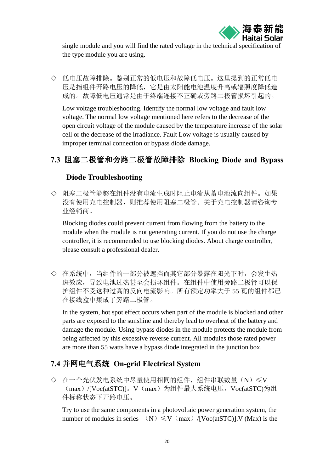

single module and you will find the rated voltage in the technical specification of the type module you are using.

◇ 低电压故障排除。鉴别正常的低电压和故障低电压。这里提到的正常低电 压是指组件开路电压的降低,它是由太阳能电池温度升高或辐照度降低造 成的。故障低电压通常是由于终端连接不正确或旁路二极管损坏引起的。

Low voltage troubleshooting. Identify the normal low voltage and fault low voltage. The normal low voltage mentioned here refers to the decrease of the open circuit voltage of the module caused by the temperature increase of the solar cell or the decrease of the irradiance. Fault Low voltage is usually caused by improper terminal connection or bypass diode damage.

# <span id="page-21-0"></span>**7.3** 阻塞二极管和旁路二极管故障排除 **Blocking Diode and Bypass**

## **Diode Troubleshooting**

◇ 阻塞二极管能够在组件没有电流生成时阻止电流从蓄电池流向组件。如果 没有使用充电控制器,则推荐使用阻塞二极管。关于充电控制器请咨询专 业经销商。

Blocking diodes could prevent current from flowing from the battery to the module when the module is not generating current. If you do not use the charge controller, it is recommended to use blocking diodes. About charge controller, please consult a professional dealer.

◇ 在系统中,当组件的一部分被遮挡而其它部分暴露在阳光下时,会发生热 斑效应,导致电池过热甚至会损坏组件。在组件中使用旁路二极管可以保 护组件不受这种过高的反向电流影响。所有额定功率大于 55 瓦的组件都已 在接线盒中集成了旁路二极管。

In the system, hot spot effect occurs when part of the module is blocked and other parts are exposed to the sunshine and thereby lead to overheat of the battery and damage the module. Using bypass diodes in the module protects the module from being affected by this excessive reverse current. All modules those rated power are more than 55 watts have a bypass diode integrated in the junction box.

# <span id="page-21-1"></span>**7.4** 并网电气系统 **On-grid Electrical System**

◇ 在一个光伏发电系统中尽量使用相同的组件,组件串联数量(N)≤V (max)/[Voc(atSTC)]。V(max)为组件最大系统电压,Voc(atSTC)为组 件标称状态下开路电压。

Try to use the same components in a photovoltaic power generation system, the number of modules in series  $(N) \leq V \text{ (max) /[Voc(atSTC)]}.V \text{ (Max) is the}$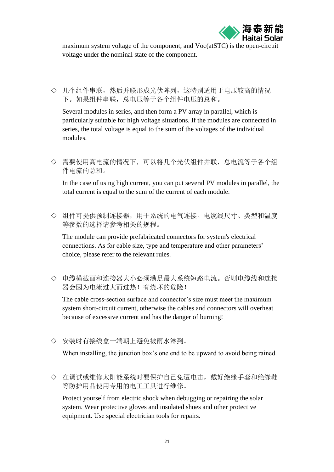

maximum system voltage of the component, and Voc(atSTC) is the open-circuit voltage under the nominal state of the component.

◇ 几个组件串联,然后并联形成光伏阵列,这特别适用于电压较高的情况 下。如果组件串联,总电压等于各个组件电压的总和。

Several modules in series, and then form a PV array in parallel, which is particularly suitable for high voltage situations. If the modules are connected in series, the total voltage is equal to the sum of the voltages of the individual modules.

◇ 需要使用高电流的情况下,可以将几个光伏组件并联,总电流等于各个组 件电流的总和。

In the case of using high current, you can put several PV modules in parallel, the total current is equal to the sum of the current of each module.

◇ 组件可提供预制连接器,用于系统的电气连接。电缆线尺寸、类型和温度 等参数的选择请参考相关的规程。

The module can provide prefabricated connectors for system's electrical connections. As for cable size, type and temperature and other parameters' choice, please refer to the relevant rules.

◇ 电缆横截面和连接器大小必须满足最大系统短路电流。否则电缆线和连接 器会因为电流过大而过热!有烧坏的危险!

The cable cross-section surface and connector's size must meet the maximum system short-circuit current, otherwise the cables and connectors will overheat because of excessive current and has the danger of burning!

◇ 安装时有接线盒一端朝上避免被雨水淋到。

When installing, the junction box's one end to be upward to avoid being rained.

◇ 在调试或维修太阳能系统时要保护自己免遭电击,戴好绝缘手套和绝缘鞋 等防护用品使用专用的电工工具进行维修。

Protect yourself from electric shock when debugging or repairing the solar system. Wear protective gloves and insulated shoes and other protective equipment. Use special electrician tools for repairs.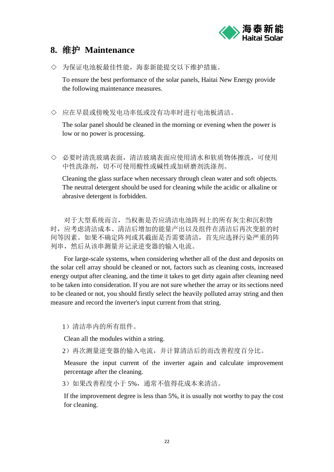

# <span id="page-23-0"></span>**8.** 维护 **Maintenance**

◇ 为保证电池板最佳性能,海泰新能提交以下维护措施。

To ensure the best performance of the solar panels, Haitai New Energy provide the following maintenance measures.

◇ 应在早晨或傍晚发电功率低或没有功率时进行电池板清洁。

The solar panel should be cleaned in the morning or evening when the power is low or no power is processing.

◇ 必要时清洗玻璃表面,清洁玻璃表面应使用清水和软质物体擦洗,可使用 中性洗涤剂,切不可使用酸性或碱性或加研磨剂洗涤剂。

Cleaning the glass surface when necessary through clean water and soft objects. The neutral detergent should be used for cleaning while the acidic or alkaline or abrasive detergent is forbidden.

对于大型系统而言,当权衡是否应清洁电池阵列上的所有灰尘和沉积物 时,应考虑清洁成本、清洁后增加的能量产出以及组件在清洁后再次变脏的时 间等因素。如果不确定阵列或其截面是否需要清洁,首先应选择污染严重的阵 列串,然后从该串测量并记录逆变器的输入电流。

For large-scale systems, when considering whether all of the dust and deposits on the solar cell array should be cleaned or not, factors such as cleaning costs, increased energy output after cleaning, and the time it takes to get dirty again after cleaning need to be taken into consideration. If you are not sure whether the array or its sections need to be cleaned or not, you should firstly select the heavily polluted array string and then measure and record the inverter's input current from that string.

1)清洁串内的所有组件。

Clean all the modules within a string.

2)再次测量逆变器的输入电流,并计算清洁后的而改善程度百分比。

Measure the input current of the inverter again and calculate improvement percentage after the cleaning.

3) 如果改善程度小于 5%, 通常不值得花成本来清洁。

If the improvement degree is less than 5%, it is usually not worthy to pay the cost for cleaning.